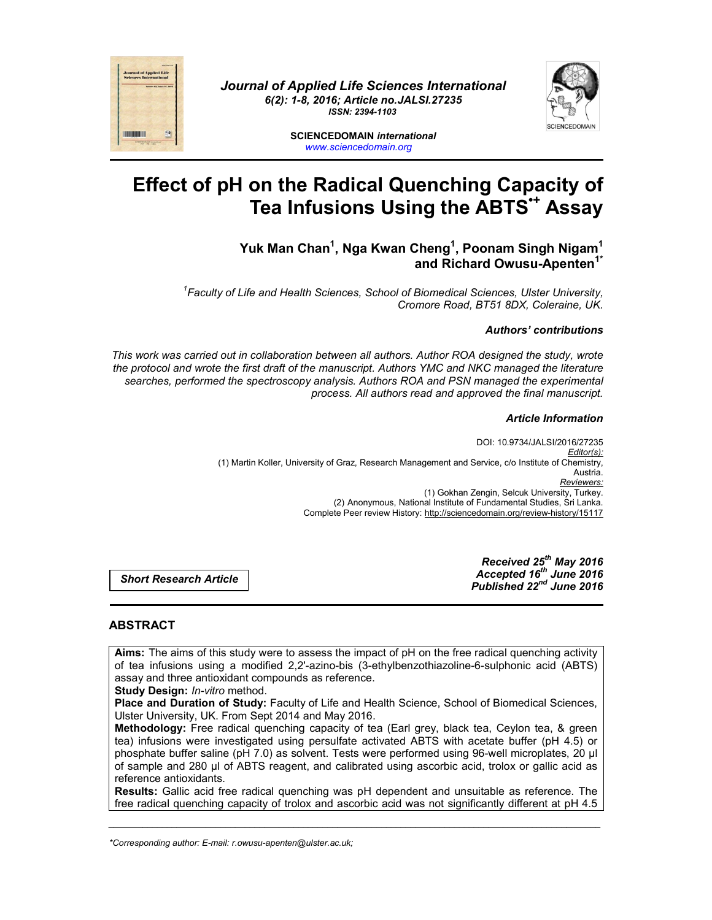



**SCIENCEDOMAIN** *international www.sciencedomain.org*

# **Effect of pH on the Radical Quenching Capacity of Tea Infusions Using the ABTS•+ Assay**

## **Yuk Man Chan1 , Nga Kwan Cheng1 , Poonam Singh Nigam1 and Richard Owusu-Apenten1\***

*1 Faculty of Life and Health Sciences, School of Biomedical Sciences, Ulster University, Cromore Road, BT51 8DX, Coleraine, UK.*

## *Authors' contributions*

*This work was carried out in collaboration between all authors. Author ROA designed the study, wrote the protocol and wrote the first draft of the manuscript. Authors YMC and NKC managed the literature searches, performed the spectroscopy analysis. Authors ROA and PSN managed the experimental process. All authors read and approved the final manuscript.*

#### *Article Information*

DOI: 10.9734/JALSI/2016/27235 *Editor(s):* (1) Martin Koller, University of Graz, Research Management and Service, c/o Institute of Chemistry, Austria. *Reviewers:* (1) Gokhan Zengin, Selcuk University, Turkey. (2) Anonymous, National Institute of Fundamental Studies, Sri Lanka. Complete Peer review History: http://sciencedomain.org/review-history/15117

*Short Research Article*

*Received 25th May 2016 Accepted 16th June 2016 Published 22nd June 2016*

## **ABSTRACT**

**THE REAL PROPERTY** 

**Aims:** The aims of this study were to assess the impact of pH on the free radical quenching activity of tea infusions using a modified 2,2'-azino-bis (3-ethylbenzothiazoline-6-sulphonic acid (ABTS) assay and three antioxidant compounds as reference.

**Study Design:** *In-vitro* method.

**Place and Duration of Study:** Faculty of Life and Health Science, School of Biomedical Sciences, Ulster University, UK. From Sept 2014 and May 2016.

**Methodology:** Free radical quenching capacity of tea (Earl grey, black tea, Ceylon tea, & green tea) infusions were investigated using persulfate activated ABTS with acetate buffer (pH 4.5) or phosphate buffer saline (pH 7.0) as solvent. Tests were performed using 96-well microplates, 20 µl of sample and 280 µl of ABTS reagent, and calibrated using ascorbic acid, trolox or gallic acid as reference antioxidants.

**Results:** Gallic acid free radical quenching was pH dependent and unsuitable as reference. The free radical quenching capacity of trolox and ascorbic acid was not significantly different at pH 4.5

*\_\_\_\_\_\_\_\_\_\_\_\_\_\_\_\_\_\_\_\_\_\_\_\_\_\_\_\_\_\_\_\_\_\_\_\_\_\_\_\_\_\_\_\_\_\_\_\_\_\_\_\_\_\_\_\_\_\_\_\_\_\_\_\_\_\_\_\_\_\_\_\_\_\_\_\_\_\_\_\_\_\_\_\_\_\_\_\_\_\_\_\_\_\_\_\_\_\_\_\_\_*

*\*Corresponding author: E-mail: r.owusu-apenten@ulster.ac.uk;*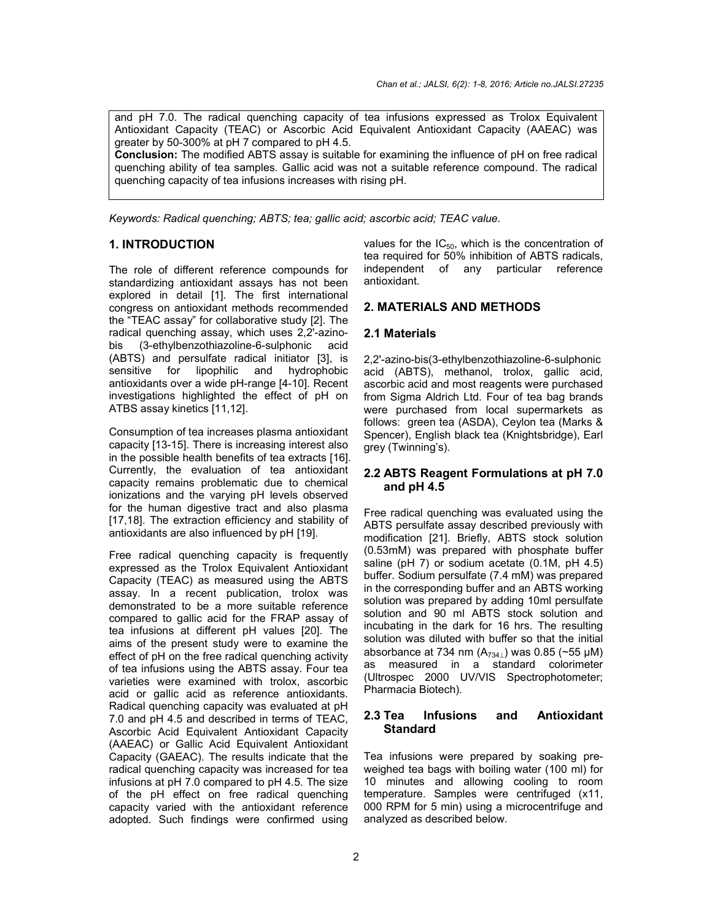and pH 7.0. The radical quenching capacity of tea infusions expressed as Trolox Equivalent Antioxidant Capacity (TEAC) or Ascorbic Acid Equivalent Antioxidant Capacity (AAEAC) was greater by 50-300% at pH 7 compared to pH 4.5.

**Conclusion:** The modified ABTS assay is suitable for examining the influence of pH on free radical quenching ability of tea samples. Gallic acid was not a suitable reference compound. The radical quenching capacity of tea infusions increases with rising pH.

*Keywords: Radical quenching; ABTS; tea; gallic acid; ascorbic acid; TEAC value.*

## **1. INTRODUCTION**

The role of different reference compounds for standardizing antioxidant assays has not been explored in detail [1]. The first international congress on antioxidant methods recommended the "TEAC assay" for collaborative study [2]. The radical quenching assay, which uses 2,2'-azinobis (3-ethylbenzothiazoline-6-sulphonic acid (ABTS) and persulfate radical initiator [3], is sensitive for lipophilic and hydrophobic antioxidants over a wide pH-range [4-10]. Recent investigations highlighted the effect of pH on ATBS assay kinetics [11,12].

Consumption of tea increases plasma antioxidant capacity [13-15]. There is increasing interest also in the possible health benefits of tea extracts [16]. Currently, the evaluation of tea antioxidant capacity remains problematic due to chemical ionizations and the varying pH levels observed for the human digestive tract and also plasma [17,18]. The extraction efficiency and stability of antioxidants are also influenced by pH [19].

Free radical quenching capacity is frequently expressed as the Trolox Equivalent Antioxidant Capacity (TEAC) as measured using the ABTS assay. In a recent publication, trolox was demonstrated to be a more suitable reference compared to gallic acid for the FRAP assay of tea infusions at different pH values [20]. The aims of the present study were to examine the effect of pH on the free radical quenching activity of tea infusions using the ABTS assay. Four tea varieties were examined with trolox, ascorbic acid or gallic acid as reference antioxidants. Radical quenching capacity was evaluated at pH 7.0 and pH 4.5 and described in terms of TEAC, Ascorbic Acid Equivalent Antioxidant Capacity (AAEAC) or Gallic Acid Equivalent Antioxidant Capacity (GAEAC). The results indicate that the radical quenching capacity was increased for tea infusions at pH 7.0 compared to pH 4.5. The size of the pH effect on free radical quenching capacity varied with the antioxidant reference adopted. Such findings were confirmed using

values for the  $IC_{50}$ , which is the concentration of tea required for 50% inhibition of ABTS radicals, independent of any particular reference antioxidant.

## **2. MATERIALS AND METHODS**

#### **2.1 Materials**

2,2'-azino-bis(3-ethylbenzothiazoline-6-sulphonic acid (ABTS), methanol, trolox, gallic acid, ascorbic acid and most reagents were purchased from Sigma Aldrich Ltd. Four of tea bag brands were purchased from local supermarkets as follows: green tea (ASDA), Ceylon tea (Marks & Spencer), English black tea (Knightsbridge), Earl grey (Twinning's).

## **2.2 ABTS Reagent Formulations at pH 7.0 and pH 4.5**

Free radical quenching was evaluated using the ABTS persulfate assay described previously with modification [21]. Briefly, ABTS stock solution (0.53mM) was prepared with phosphate buffer saline (pH 7) or sodium acetate (0.1M, pH 4.5) buffer. Sodium persulfate (7.4 mM) was prepared in the corresponding buffer and an ABTS working solution was prepared by adding 10ml persulfate solution and 90 ml ABTS stock solution and incubating in the dark for 16 hrs. The resulting solution was diluted with buffer so that the initial absorbance at 734 nm  $(A<sub>734</sub>)$  was 0.85 (~55 µM) as measured in a standard colorimeter (Ultrospec 2000 UV/VIS Spectrophotometer; Pharmacia Biotech).

## **2.3 Tea Infusions and Antioxidant Standard**

Tea infusions were prepared by soaking preweighed tea bags with boiling water (100 ml) for 10 minutes and allowing cooling to room temperature. Samples were centrifuged (x11, 000 RPM for 5 min) using a microcentrifuge and analyzed as described below.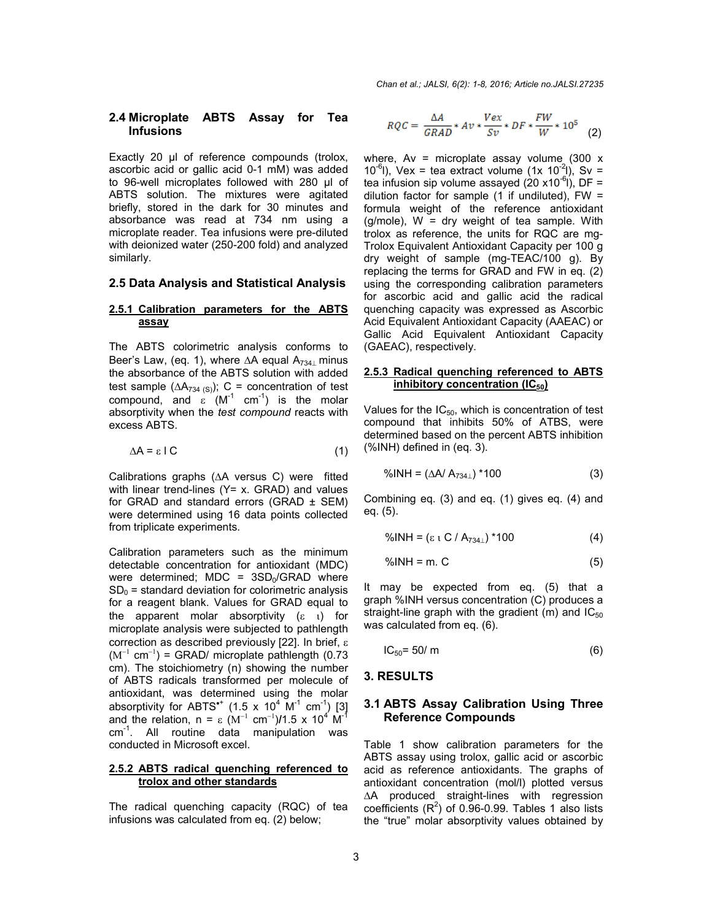#### **2.4 Microplate ABTS Assay for Tea Infusions**

Exactly 20 µl of reference compounds (trolox, ascorbic acid or gallic acid 0-1 mM) was added to 96-well microplates followed with 280 µl of ABTS solution. The mixtures were agitated briefly, stored in the dark for 30 minutes and absorbance was read at 734 nm using a microplate reader. Tea infusions were pre-diluted with deionized water (250-200 fold) and analyzed similarly.

#### **2.5 Data Analysis and Statistical Analysis**

#### **2.5.1 Calibration parameters for the ABTS assay**

The ABTS colorimetric analysis conforms to Beer's Law, (eq. 1), where  $\Delta A$  equal  $A_{734}$  minus the absorbance of the ABTS solution with added test sample  $(\Delta A_{734 \, (S)})$ ; C = concentration of test compound, and  $\varepsilon$  (M<sup>-1</sup> cm<sup>-1</sup>) is the molar absorptivity when the *test compound* reacts with excess ABTS.

$$
\Delta A = \varepsilon \, \text{IC} \tag{1}
$$

Calibrations graphs  $( \Delta A$  versus C) were fitted with linear trend-lines (Y= x. GRAD) and values for GRAD and standard errors (GRAD  $\pm$  SEM) were determined using 16 data points collected from triplicate experiments.

Calibration parameters such as the minimum detectable concentration for antioxidant (MDC) were determined; MDC =  $3SD<sub>0</sub>/GRAD$  where  $SD<sub>0</sub>$  = standard deviation for colorimetric analysis for a reagent blank. Values for GRAD equal to the apparent molar absorptivity  $(\varepsilon \t_1)$  for microplate analysis were subjected to pathlength correction as described previously [22]. In brief,  $(M^{-1} \text{ cm}^{-1})$  = GRAD/ microplate pathlength (0.73 cm). The stoichiometry (n) showing the number of ABTS radicals transformed per molecule of antioxidant, was determined using the molar absorptivity for ABTS<sup>\*</sup> (1.5 x 10<sup>4</sup> M<sup>-1</sup> cm<sup>-1</sup>) [3] and the relation,  $n = \varepsilon (M^{-1} \text{ cm}^{-1})/1.5 \times 10^4 \text{ M}^{-1}$ cm-1 . All routine data manipulation was conducted in Microsoft excel.

#### **2.5.2 ABTS radical quenching referenced to trolox and other standards**

The radical quenching capacity (RQC) of tea infusions was calculated from eq. (2) below;

$$
RQC = \frac{\Delta A}{GRAD} * Av * \frac{Vex}{Sv} * DF * \frac{FW}{W} * 10^5
$$
 (2)

where,  $Av =$  microplate assay volume (300  $x$ ) 10<sup>-6</sup>l), Vex = tea extract volume (1x 10<sup>-2</sup>l), Sv = tea infusion sip volume assayed (20 x10<sup>-6</sup>l), DF = dilution factor for sample  $(1 \text{ if undiluted})$ , FW = formula weight of the reference antioxidant  $(g/mole)$ , W = dry weight of tea sample. With trolox as reference, the units for RQC are mg-Trolox Equivalent Antioxidant Capacity per 100 g dry weight of sample (mg-TEAC/100 g). By replacing the terms for GRAD and FW in eq. (2) using the corresponding calibration parameters for ascorbic acid and gallic acid the radical quenching capacity was expressed as Ascorbic Acid Equivalent Antioxidant Capacity (AAEAC) or Gallic Acid Equivalent Antioxidant Capacity (GAEAC), respectively.

#### **2.5.3 Radical quenching referenced to ABTS inhibitory concentration (IC<sub>50</sub>)**

Values for the  $IC_{50}$ , which is concentration of test compound that inhibits 50% of ATBS, were determined based on the percent ABTS inhibition (%INH) defined in (eq. 3).

$$
\% \text{INH} = (\Delta A / A_{734\perp}) * 100 \tag{3}
$$

Combining eq. (3) and eq. (1) gives eq. (4) and eq. (5).

 $\%$ INH = ( $\epsilon$  t C / A<sub>734⊥</sub>) \*100 (4)

$$
\%INH = m. C \tag{5}
$$

It may be expected from eq. (5) that a graph %INH versus concentration (C) produces a straight-line graph with the gradient (m) and  $IC_{50}$ was calculated from eq. (6).

$$
IC_{50} = 50/m
$$
 (6)

#### **3. RESULTS**

#### **3.1 ABTS Assay Calibration Using Three Reference Compounds**

Table 1 show calibration parameters for the ABTS assay using trolox, gallic acid or ascorbic acid as reference antioxidants. The graphs of antioxidant concentration (mol/l) plotted versus A produced straight-lines with regression coefficients  $(R^2)$  of 0.96-0.99. Tables 1 also lists the "true" molar absorptivity values obtained by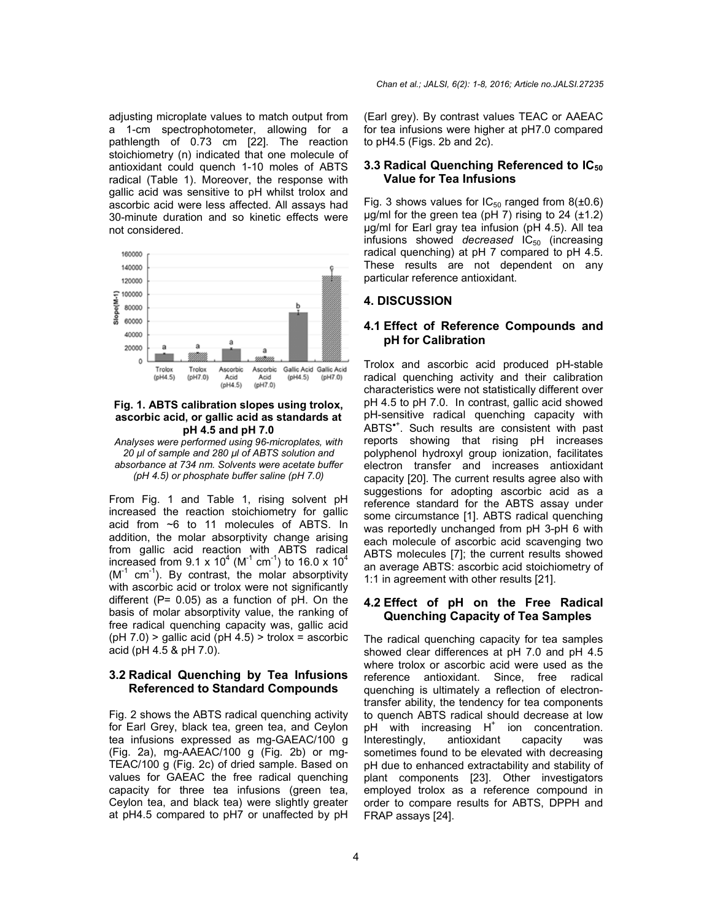adjusting microplate values to match output from a 1-cm spectrophotometer, allowing for a pathlength of 0.73 cm [22]. The reaction stoichiometry (n) indicated that one molecule of antioxidant could quench 1-10 moles of ABTS radical (Table 1). Moreover, the response with gallic acid was sensitive to pH whilst trolox and ascorbic acid were less affected. All assays had 30-minute duration and so kinetic effects were not considered.



#### **Fig. 1. ABTS calibration slopes using trolox, ascorbic acid, or gallic acid as standards at pH 4.5 and pH 7.0**

*Analyses were performed using 96-microplates, with 20 µl of sample and 280 µl of ABTS solution and absorbance at 734 nm. Solvents were acetate buffer (pH 4.5) or phosphate buffer saline (pH 7.0)*

From Fig. 1 and Table 1, rising solvent pH increased the reaction stoichiometry for gallic acid from ~6 to 11 molecules of ABTS. In addition, the molar absorptivity change arising from gallic acid reaction with ABTS radical increased from 9.1 x 10<sup>4</sup> (M<sup>-1</sup> cm<sup>-1</sup>) to 16.0 x 10<sup>4</sup>  $(M^{-1} \text{ cm}^{-1})$ . By contrast, the molar absorptivity with ascorbic acid or trolox were not significantly different ( $P= 0.05$ ) as a function of  $pH$ . On the basis of molar absorptivity value, the ranking of free radical quenching capacity was, gallic acid  $(pH 7.0)$  > gallic acid  $(pH 4.5)$  > trolox = ascorbic acid (pH 4.5 & pH 7.0).

## **3.2 Radical Quenching by Tea Infusions Referenced to Standard Compounds**

Fig. 2 shows the ABTS radical quenching activity for Earl Grey, black tea, green tea, and Ceylon tea infusions expressed as mg-GAEAC/100 g (Fig. 2a), mg-AAEAC/100 g (Fig. 2b) or mg-TEAC/100 g (Fig. 2c) of dried sample. Based on values for GAEAC the free radical quenching capacity for three tea infusions (green tea, Ceylon tea, and black tea) were slightly greater at pH4.5 compared to pH7 or unaffected by pH

(Earl grey). By contrast values TEAC or AAEAC for tea infusions were higher at pH7.0 compared to pH4.5 (Figs. 2b and 2c).

### **3.3 Radical Quenching Referenced to IC50 Value for Tea Infusions**

Fig. 3 shows values for  $IC_{50}$  ranged from  $8(\pm 0.6)$  $\mu$ g/ml for the green tea (pH 7) rising to 24 ( $\pm$ 1.2) µg/ml for Earl gray tea infusion (pH 4.5). All tea infusions showed *decreased* IC<sub>50</sub> (increasing radical quenching) at pH 7 compared to pH 4.5. These results are not dependent on any particular reference antioxidant.

#### **4. DISCUSSION**

#### **4.1 Effect of Reference Compounds and pH for Calibration**

Trolox and ascorbic acid produced pH-stable radical quenching activity and their calibration characteristics were not statistically different over pH 4.5 to pH 7.0. In contrast, gallic acid showed pH-sensitive radical quenching capacity with ABTS\*<sup>+</sup>. Such results are consistent with past reports showing that rising pH increases polyphenol hydroxyl group ionization, facilitates electron transfer and increases antioxidant capacity [20]. The current results agree also with suggestions for adopting ascorbic acid as a reference standard for the ABTS assay under some circumstance [1]. ABTS radical quenching was reportedly unchanged from pH 3-pH 6 with each molecule of ascorbic acid scavenging two ABTS molecules [7]; the current results showed an average ABTS: ascorbic acid stoichiometry of 1:1 in agreement with other results [21].

#### **4.2 Effect of pH on the Free Radical Quenching Capacity of Tea Samples**

The radical quenching capacity for tea samples showed clear differences at pH 7.0 and pH 4.5 where trolox or ascorbic acid were used as the reference antioxidant. Since, free radical quenching is ultimately a reflection of electrontransfer ability, the tendency for tea components to quench ABTS radical should decrease at low pH with increasing  $H^+$  ion concentration.<br>Interestingly, antioxidant capacity was Interestingly, antioxidant capacity was sometimes found to be elevated with decreasing pH due to enhanced extractability and stability of plant components [23]. Other investigators employed trolox as a reference compound in order to compare results for ABTS, DPPH and FRAP assays [24].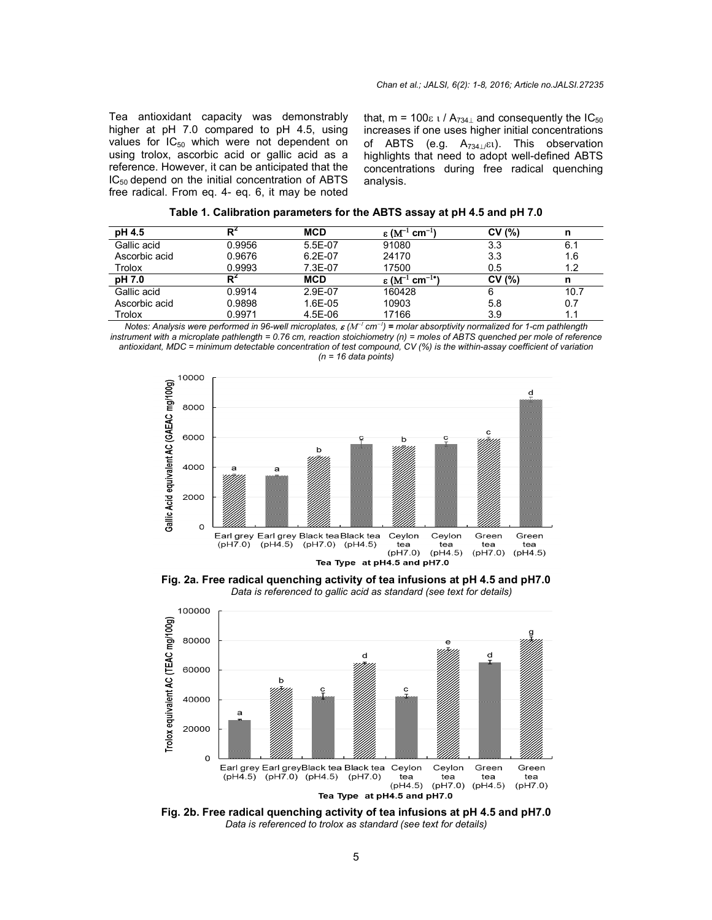Tea antioxidant capacity was demonstrably higher at pH 7.0 compared to pH 4.5, using values for  $IC_{50}$  which were not dependent on using trolox, ascorbic acid or gallic acid as a reference. However, it can be anticipated that the  $IC_{50}$  depend on the initial concentration of ABTS free radical. From eq. 4- eq. 6, it may be noted Tea antioxidant capacity was demonstrably that,  $m = 100\varepsilon \frac{1}{A_{734\perp}}$  and consequently the IC<br>higher at pH 7.0 compared to pH 4.5, using increases if one uses higher initial concentratior<br>values for IC<sub>50</sub> which were

increases if one uses higher initial concentrations of ABTS (e.g.  $A_{734\perp}$  $\varepsilon$ t). This observation highlights that need to adopt well-defined ABTS concentrations during free radical quenching quenching analysis. that,  $m = 100\varepsilon$  t /  $A_{734\perp}$  and consequently the IC<sub>50</sub> concentrations<br>s observation<br>-defined ABTS

| Rʻ<br>pH 4.5<br>CV(%)<br>MCD<br>ε ( $M^{-1}$ cm $^{-1}$<br>Gallic acid<br>5.5E-07<br>0.9956<br>91080<br>3.3<br>Ascorbic acid<br>24170<br>0.9676<br>$6.2E-07$<br>3.3<br>Trolox<br>0.9993<br>17500<br>7.3E-07<br>0.5 | Table 1. Calibration parameters for the ABTS assay at pH 4.5 and pH 7.0 |
|--------------------------------------------------------------------------------------------------------------------------------------------------------------------------------------------------------------------|-------------------------------------------------------------------------|
|                                                                                                                                                                                                                    | n                                                                       |
|                                                                                                                                                                                                                    | 6.1                                                                     |
|                                                                                                                                                                                                                    | 1.6                                                                     |
|                                                                                                                                                                                                                    | 1.2                                                                     |
| $\epsilon$ (M <sup>-1</sup> cm <sup>-1*</sup> )<br>CV(%)<br>pH 7.0<br><b>MCD</b><br>R                                                                                                                              | n                                                                       |
| Gallic acid<br>0.9914<br>2.9E-07<br>160428<br>6                                                                                                                                                                    | 10.7                                                                    |
| Ascorbic acid<br>0.9898<br>1.6E-05<br>10903<br>5.8                                                                                                                                                                 | 0.7                                                                     |
| 17166<br>Trolox<br>0.9971<br>4.5E-06<br>3.9                                                                                                                                                                        | 1.1                                                                     |

*Notes: Analysis were performed in 96-well microplates,*  $\bm{\varepsilon}$  *(M<sup>-1</sup> cm<sup>-1</sup>) = molar absorptivity normalized for 1-cm pathlength instrument with a microplate pathlength = 0.76 cm, reaction stoichiometry (n) = moles of ABTS quenched per mole of reference*  strument with a microplate pathlength = 0.76 cm, reaction stoichiometry (n) = moles of ABTS quenched per mole of referenc<br>antioxidant, MDC = minimum detectable concentration of test compound, CV (%) is the within-assay coe *(n = 16 data points)*



**Fig. 2a. Free radical quenching activity of tea infusions at pH 4.5 and pH7.0** *Data is referenced to gallic acid as standard (see text for details)*



**Fig. 2b. Free radical quenching activity of tea infusions at pH 4.5 and pH7.0** *Data is referenced to trolox as standard (see text for details)*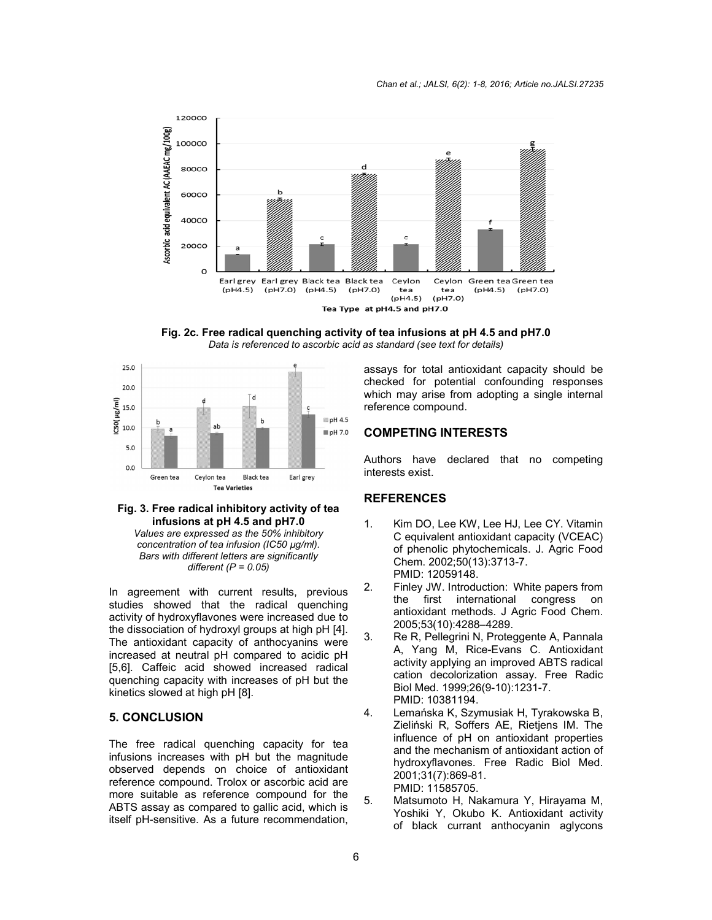

**Fig. 2c. Free radical quenching activity of tea infusions at pH 4.5 and pH7.0** *Data is referenced to ascorbic acid as standard (see text for details)*



#### **Fig. 3. Free radical inhibitory activity of tea infusions at pH 4.5 and pH7.0**

*Values are expressed as the 50% inhibitory concentration of tea infusion (IC50 µg/ml). Bars with different letters are significantly different (P = 0.05)*

In agreement with current results, previous studies showed that the radical quenching activity of hydroxyflavones were increased due to the dissociation of hydroxyl groups at high pH [4]. The antioxidant capacity of anthocyanins were increased at neutral pH compared to acidic pH [5,6]. Caffeic acid showed increased radical quenching capacity with increases of pH but the kinetics slowed at high pH [8].

#### **5. CONCLUSION**

The free radical quenching capacity for tea infusions increases with pH but the magnitude observed depends on choice of antioxidant reference compound. Trolox or ascorbic acid are more suitable as reference compound for the ABTS assay as compared to gallic acid, which is itself pH-sensitive. As a future recommendation,

assays for total antioxidant capacity should be checked for potential confounding responses which may arise from adopting a single internal reference compound.

#### **COMPETING INTERESTS**

Authors have declared that no competing interests exist.

## **REFERENCES**

- 1. Kim DO, Lee KW, Lee HJ, Lee CY. Vitamin C equivalent antioxidant capacity (VCEAC) of phenolic phytochemicals. J. Agric Food Chem. 2002;50(13):3713-7. PMID: 12059148.
- 2. Finley JW. Introduction:  White papers from the first international congress on antioxidant methods. J Agric Food Chem. 2005;53(10):4288–4289.
- 3. Re R, Pellegrini N, Proteggente A, Pannala A, Yang M, Rice-Evans C. Antioxidant activity applying an improved ABTS radical cation decolorization assay. Free Radic Biol Med. 1999;26(9-10):1231-7. PMID: 10381194.
- 4. Lemańska K, Szymusiak H, Tyrakowska B, Zieliński R, Soffers AE, Rietjens IM. The influence of pH on antioxidant properties and the mechanism of antioxidant action of hydroxyflavones. Free Radic Biol Med. 2001;31(7):869-81. PMID: 11585705.
- 5. Matsumoto H, Nakamura Y, Hirayama M, Yoshiki Y, Okubo K. Antioxidant activity of black currant anthocyanin aglycons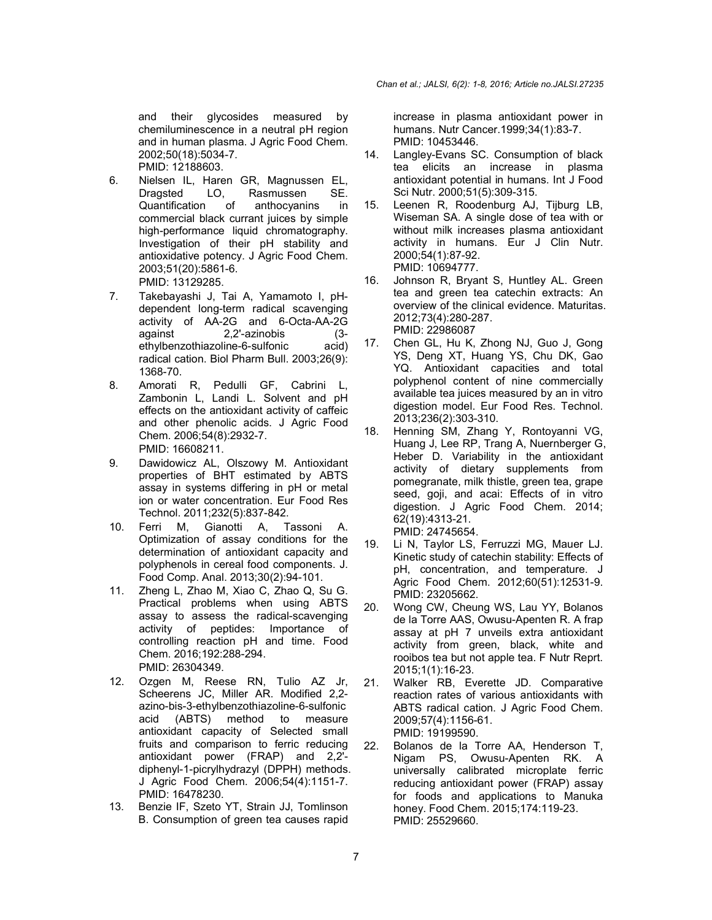and their glycosides measured by chemiluminescence in a neutral pH region and in human plasma. J Agric Food Chem. 2002;50(18):5034-7. PMID: 12188603.

- 6. Nielsen IL, Haren GR, Magnussen EL, Dragsted LO, Rasmussen SE. Quantification of anthocyanins in commercial black currant juices by simple high-performance liquid chromatography. Investigation of their pH stability and antioxidative potency. J Agric Food Chem. 2003;51(20):5861-6. PMID: 13129285.
- 7. Takebayashi J, Tai A, Yamamoto I, pHdependent long-term radical scavenging activity of AA-2G and 6-Octa-AA-2G against 2,2'-azinobis (3-<br>ethylbenzothiazoline-6-sulfonic acid) ethylbenzothiazoline-6-sulfonic radical cation. Biol Pharm Bull. 2003;26(9): 1368-70.
- 8. Amorati R, Pedulli GF, Cabrini L, Zambonin L, Landi L. Solvent and pH effects on the antioxidant activity of caffeic and other phenolic acids. J Agric Food Chem. 2006;54(8):2932-7. PMID: 16608211.
- 9. Dawidowicz AL, Olszowy M. Antioxidant properties of BHT estimated by ABTS assay in systems differing in pH or metal ion or water concentration. Eur Food Res Technol. 2011;232(5):837-842.
- 10. Ferri M, Gianotti A, Tassoni A. Optimization of assay conditions for the determination of antioxidant capacity and polyphenols in cereal food components. J. Food Comp. Anal. 2013;30(2):94-101.
- 11. Zheng L, Zhao M, Xiao C, Zhao Q, Su G. Practical problems when using ABTS assay to assess the radical-scavenging activity of peptides: Importance of controlling reaction pH and time. Food Chem. 2016;192:288-294. PMID: 26304349.
- 12. Ozgen M, Reese RN, Tulio AZ Jr, Scheerens JC, Miller AR. Modified 2,2 azino-bis-3-ethylbenzothiazoline-6-sulfonic acid (ABTS) method to measure antioxidant capacity of Selected small fruits and comparison to ferric reducing antioxidant power (FRAP) and 2,2' diphenyl-1-picrylhydrazyl (DPPH) methods. J Agric Food Chem. 2006;54(4):1151-7. PMID: 16478230.
- 13. Benzie IF, Szeto YT, Strain JJ, Tomlinson B. Consumption of green tea causes rapid

increase in plasma antioxidant power in humans. Nutr Cancer.1999;34(1):83-7. PMID: 10453446.

- 14. Langley-Evans SC. Consumption of black tea elicits an increase in plasma antioxidant potential in humans. Int J Food Sci Nutr. 2000;51(5):309-315.
- 15. Leenen R, Roodenburg AJ, Tijburg LB, Wiseman SA. A single dose of tea with or without milk increases plasma antioxidant activity in humans. Eur J Clin Nutr. 2000;54(1):87-92. PMID: 10694777.
- 16. Johnson R, Bryant S, Huntley AL. Green tea and green tea catechin extracts: An overview of the clinical evidence. Maturitas. 2012;73(4):280-287. PMID: 22986087
- 17. Chen GL, Hu K, Zhong NJ, Guo J, Gong YS, Deng XT, Huang YS, Chu DK, Gao YQ. Antioxidant capacities and total polyphenol content of nine commercially available tea juices measured by an in vitro digestion model. Eur Food Res. Technol. 2013;236(2):303-310.
- 18. Henning SM, Zhang Y, Rontoyanni VG, Huang J, Lee RP, Trang A, Nuernberger G, Heber D. Variability in the antioxidant activity of dietary supplements from pomegranate, milk thistle, green tea, grape seed, goji, and acai: Effects of in vitro digestion. J Agric Food Chem. 2014; 62(19):4313-21. PMID: 24745654.
- 19. Li N, Taylor LS, Ferruzzi MG, Mauer LJ. Kinetic study of catechin stability: Effects of pH, concentration, and temperature. J Agric Food Chem. 2012;60(51):12531-9. PMID: 23205662.
- 20. Wong CW, Cheung WS, Lau YY, Bolanos de la Torre AAS, Owusu-Apenten R. A frap assay at pH 7 unveils extra antioxidant activity from green, black, white and rooibos tea but not apple tea. F Nutr Reprt. 2015;1(1):16-23.
- 21. Walker RB, Everette JD. Comparative reaction rates of various antioxidants with ABTS radical cation. J Agric Food Chem. 2009;57(4):1156-61. PMID: 19199590.
- 22. Bolanos de la Torre AA, Henderson T, Nigam PS, Owusu-Apenten RK. A universally calibrated microplate ferric reducing antioxidant power (FRAP) assay for foods and applications to Manuka honey. Food Chem. 2015;174:119-23. PMID: 25529660.